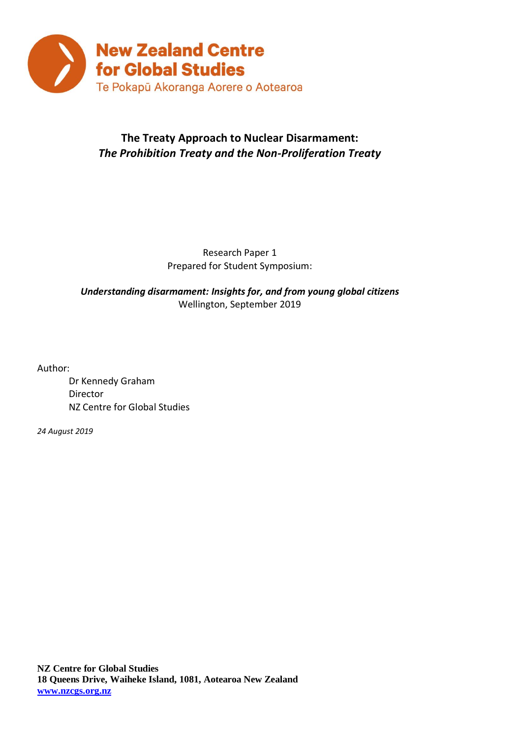

## **The Treaty Approach to Nuclear Disarmament:** *The Prohibition Treaty and the Non-Proliferation Treaty*

Research Paper 1 Prepared for Student Symposium:

*Understanding disarmament: Insights for, and from young global citizens* Wellington, September 2019

Author:

Dr Kennedy Graham Director NZ Centre for Global Studies

*24 August 2019*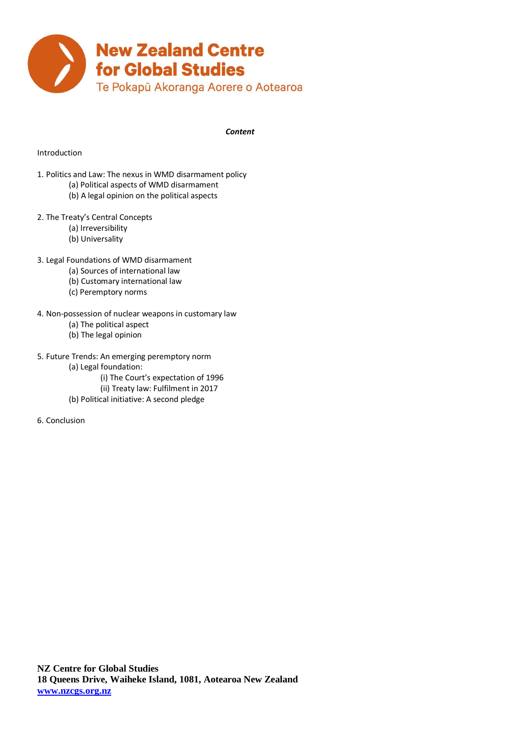

#### *Content*

## Introduction

- 1. Politics and Law: The nexus in WMD disarmament policy
	- (a) Political aspects of WMD disarmament
	- (b) A legal opinion on the political aspects
- 2. The Treaty's Central Concepts
	- (a) Irreversibility
	- (b) Universality
- 3. Legal Foundations of WMD disarmament
	- (a) Sources of international law
	- (b) Customary international law
	- (c) Peremptory norms
- 4. Non-possession of nuclear weapons in customary law
	- (a) The political aspect
	- (b) The legal opinion
- 5. Future Trends: An emerging peremptory norm
	- (a) Legal foundation:
		- (i) The Court's expectation of 1996
		- (ii) Treaty law: Fulfilment in 2017
	- (b) Political initiative: A second pledge
- 6. Conclusion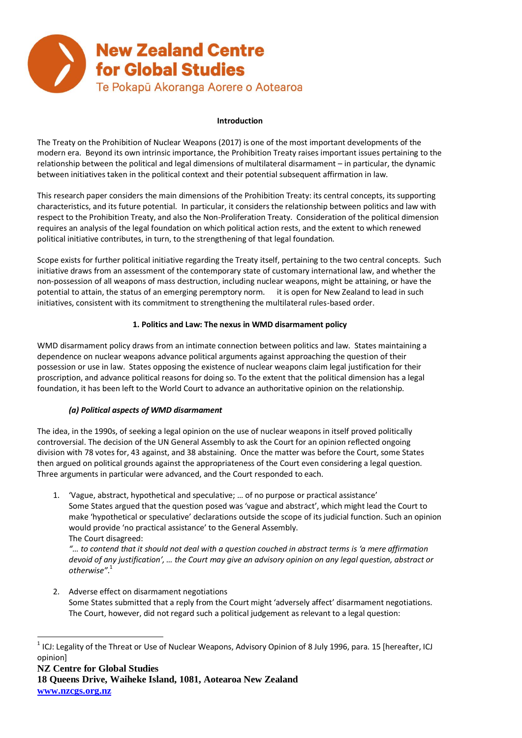

### **Introduction**

The Treaty on the Prohibition of Nuclear Weapons (2017) is one of the most important developments of the modern era. Beyond its own intrinsic importance, the Prohibition Treaty raises important issues pertaining to the relationship between the political and legal dimensions of multilateral disarmament – in particular, the dynamic between initiatives taken in the political context and their potential subsequent affirmation in law.

This research paper considers the main dimensions of the Prohibition Treaty: its central concepts, its supporting characteristics, and its future potential. In particular, it considers the relationship between politics and law with respect to the Prohibition Treaty, and also the Non-Proliferation Treaty. Consideration of the political dimension requires an analysis of the legal foundation on which political action rests, and the extent to which renewed political initiative contributes, in turn, to the strengthening of that legal foundation.

Scope exists for further political initiative regarding the Treaty itself, pertaining to the two central concepts. Such initiative draws from an assessment of the contemporary state of customary international law, and whether the non-possession of all weapons of mass destruction, including nuclear weapons, might be attaining, or have the potential to attain, the status of an emerging peremptory norm. it is open for New Zealand to lead in such initiatives, consistent with its commitment to strengthening the multilateral rules-based order.

### **1. Politics and Law: The nexus in WMD disarmament policy**

WMD disarmament policy draws from an intimate connection between politics and law. States maintaining a dependence on nuclear weapons advance political arguments against approaching the question of their possession or use in law. States opposing the existence of nuclear weapons claim legal justification for their proscription, and advance political reasons for doing so. To the extent that the political dimension has a legal foundation, it has been left to the World Court to advance an authoritative opinion on the relationship.

### *(a) Political aspects of WMD disarmament*

The idea, in the 1990s, of seeking a legal opinion on the use of nuclear weapons in itself proved politically controversial. The decision of the UN General Assembly to ask the Court for an opinion reflected ongoing division with 78 votes for, 43 against, and 38 abstaining. Once the matter was before the Court, some States then argued on political grounds against the appropriateness of the Court even considering a legal question. Three arguments in particular were advanced, and the Court responded to each.

1. 'Vague, abstract, hypothetical and speculative; … of no purpose or practical assistance' Some States argued that the question posed was 'vague and abstract', which might lead the Court to make 'hypothetical or speculative' declarations outside the scope of its judicial function. Such an opinion would provide 'no practical assistance' to the General Assembly. The Court disagreed:

*"… to contend that it should not deal with a question couched in abstract terms is 'a mere affirmation devoid of any justification', … the Court may give an advisory opinion on any legal question, abstract or otherwise"*. 1

2. Adverse effect on disarmament negotiations Some States submitted that a reply from the Court might 'adversely affect' disarmament negotiations. The Court, however, did not regard such a political judgement as relevant to a legal question:

 $\overline{\phantom{a}}$ 

 $^1$  ICJ: Legality of the Threat or Use of Nuclear Weapons, Advisory Opinion of 8 July 1996, para. 15 [hereafter, ICJ opinion]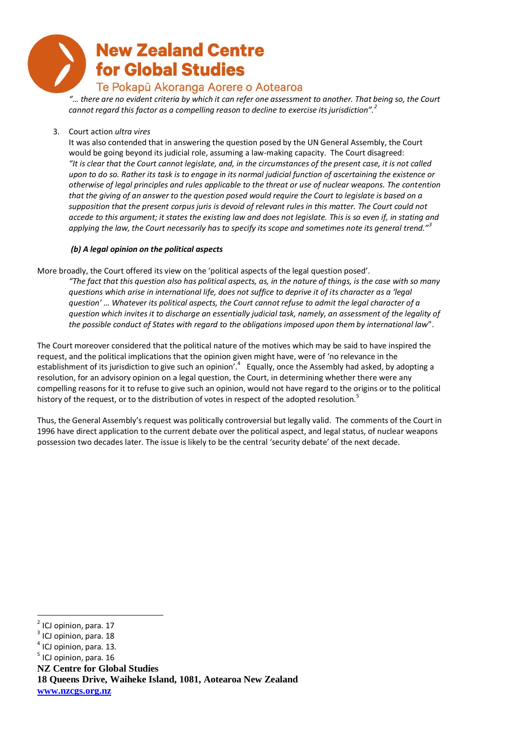

## Te Pokapū Akoranga Aorere o Aotearoa

*"… there are no evident criteria by which it can refer one assessment to another. That being so, the Court cannot regard this factor as a compelling reason to decline to exercise its jurisdiction".<sup>2</sup>*

## 3. Court action *ultra vires*

It was also contended that in answering the question posed by the UN General Assembly, the Court would be going beyond its judicial role, assuming a law-making capacity. The Court disagreed: *"It is clear that the Court cannot legislate, and, in the circumstances of the present case, it is not called upon to do so. Rather its task is to engage in its normal judicial function of ascertaining the existence or otherwise of legal principles and rules applicable to the threat or use of nuclear weapons. The contention that the giving of an answer to the question posed would require the Court to legislate is based on a supposition that the present corpus juris is devoid of relevant rules in this matter. The Court could not accede to this argument; it states the existing law and does not legislate. This is so even if, in stating and applying the law, the Court necessarily has to specify its scope and sometimes note its general trend."<sup>3</sup>*

## *(b) A legal opinion on the political aspects*

More broadly, the Court offered its view on the 'political aspects of the legal question posed'.

*"The fact that this question also has political aspects, as, in the nature of things, is the case with so many questions which arise in international life, does not suffice to deprive it of its character as a 'legal question' … Whatever its political aspects, the Court cannot refuse to admit the legal character of a question which invites it to discharge an essentially judicial task, namely, an assessment of the legality of the possible conduct of States with regard to the obligations imposed upon them by international law*".

The Court moreover considered that the political nature of the motives which may be said to have inspired the request, and the political implications that the opinion given might have, were of 'no relevance in the establishment of its jurisdiction to give such an opinion'.<sup>4</sup> Equally, once the Assembly had asked, by adopting a resolution, for an advisory opinion on a legal question, the Court, in determining whether there were any compelling reasons for it to refuse to give such an opinion, would not have regard to the origins or to the political history of the request, or to the distribution of votes in respect of the adopted resolution.<sup>5</sup>

Thus, the General Assembly's request was politically controversial but legally valid. The comments of the Court in 1996 have direct application to the current debate over the political aspect, and legal status, of nuclear weapons possession two decades later. The issue is likely to be the central 'security debate' of the next decade.

l

**NZ Centre for Global Studies**

**18 Queens Drive, Waiheke Island, 1081, Aotearoa New Zealand [www.nzcgs.org.nz](http://www.nzcgs.org.nz/)**

<sup>2</sup> ICJ opinion, para. 17

<sup>&</sup>lt;sup>3</sup> ICJ opinion, para. 18

 $<sup>4</sup>$  ICJ opinion, para. 13.</sup>

<sup>&</sup>lt;sup>5</sup> ICJ opinion, para. 16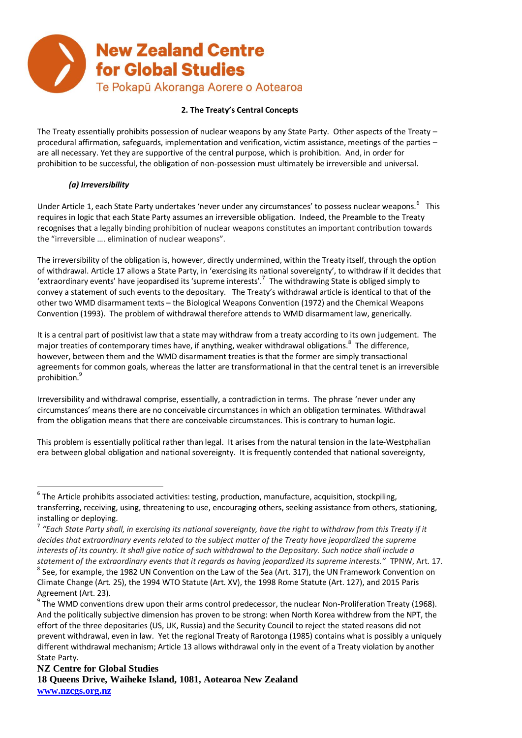

## **2. The Treaty's Central Concepts**

The Treaty essentially prohibits possession of nuclear weapons by any State Party. Other aspects of the Treaty – procedural affirmation, safeguards, implementation and verification, victim assistance, meetings of the parties – are all necessary. Yet they are supportive of the central purpose, which is prohibition. And, in order for prohibition to be successful, the obligation of non-possession must ultimately be irreversible and universal.

## *(a) Irreversibility*

 $\overline{\phantom{a}}$ 

Under Article 1, each State Party undertakes 'never under any circumstances' to possess nuclear weapons.<sup>6</sup> This requires in logic that each State Party assumes an irreversible obligation. Indeed, the Preamble to the Treaty recognises that a legally binding prohibition of nuclear weapons constitutes an important contribution towards the "irreversible …. elimination of nuclear weapons".

The irreversibility of the obligation is, however, directly undermined, within the Treaty itself, through the option of withdrawal. Article 17 allows a State Party, in 'exercising its national sovereignty', to withdraw if it decides that 'extraordinary events' have jeopardised its 'supreme interests'.<sup>7</sup> The withdrawing State is obliged simply to convey a statement of such events to the depositary. The Treaty's withdrawal article is identical to that of the other two WMD disarmament texts – the Biological Weapons Convention (1972) and the Chemical Weapons Convention (1993). The problem of withdrawal therefore attends to WMD disarmament law, generically.

It is a central part of positivist law that a state may withdraw from a treaty according to its own judgement. The major treaties of contemporary times have, if anything, weaker withdrawal obligations.<sup>8</sup> The difference, however, between them and the WMD disarmament treaties is that the former are simply transactional agreements for common goals, whereas the latter are transformational in that the central tenet is an irreversible prohibition.<sup>9</sup>

Irreversibility and withdrawal comprise, essentially, a contradiction in terms. The phrase 'never under any circumstances' means there are no conceivable circumstances in which an obligation terminates. Withdrawal from the obligation means that there are conceivable circumstances. This is contrary to human logic.

This problem is essentially political rather than legal. It arises from the natural tension in the late-Westphalian era between global obligation and national sovereignty. It is frequently contended that national sovereignty,

 $^6$  The Article prohibits associated activities: testing, production, manufacture, acquisition, stockpiling, transferring, receiving, using, threatening to use, encouraging others, seeking assistance from others, stationing, installing or deploying.

<sup>7</sup> *"Each State Party shall, in exercising its national sovereignty, have the right to withdraw from this Treaty if it decides that extraordinary events related to the subject matter of the Treaty have jeopardized the supreme interests of its country. It shall give notice of such withdrawal to the Depositary. Such notice shall include a statement of the extraordinary events that it regards as having jeopardized its supreme interests."* TPNW, Art. 17.

 $^8$  See, for example, the 1982 UN Convention on the Law of the Sea (Art. 317), the UN Framework Convention on Climate Change (Art. 25), the 1994 WTO Statute (Art. XV), the 1998 Rome Statute (Art. 127), and 2015 Paris Agreement (Art. 23).

 $^9$  The WMD conventions drew upon their arms control predecessor, the nuclear Non-Proliferation Treaty (1968). And the politically subjective dimension has proven to be strong: when North Korea withdrew from the NPT, the effort of the three depositaries (US, UK, Russia) and the Security Council to reject the stated reasons did not prevent withdrawal, even in law. Yet the regional Treaty of Rarotonga (1985) contains what is possibly a uniquely different withdrawal mechanism; Article 13 allows withdrawal only in the event of a Treaty violation by another State Party.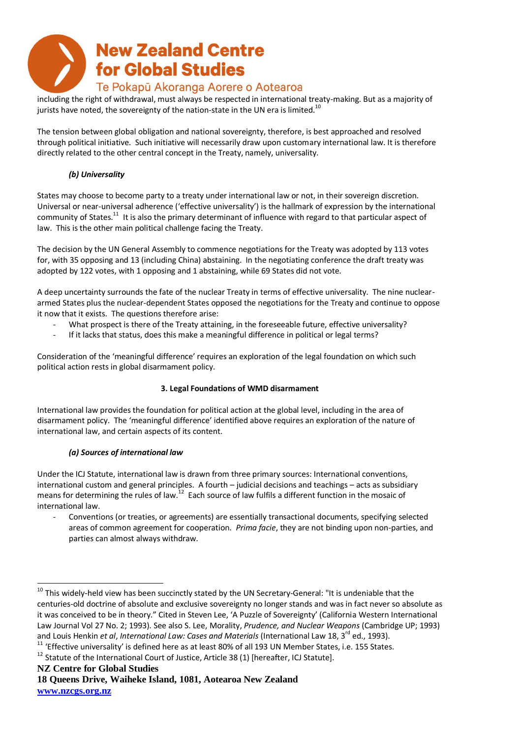

including the right of withdrawal, must always be respected in international treaty-making. But as a majority of jurists have noted, the sovereignty of the nation-state in the UN era is limited.<sup>10</sup>

The tension between global obligation and national sovereignty, therefore, is best approached and resolved through political initiative. Such initiative will necessarily draw upon customary international law. It is therefore directly related to the other central concept in the Treaty, namely, universality.

## *(b) Universality*

States may choose to become party to a treaty under international law or not, in their sovereign discretion. Universal or near-universal adherence ('effective universality') is the hallmark of expression by the international community of States.<sup>11</sup> It is also the primary determinant of influence with regard to that particular aspect of law. This is the other main political challenge facing the Treaty.

The decision by the UN General Assembly to commence negotiations for the Treaty was adopted by 113 votes for, with 35 opposing and 13 (including China) abstaining. In the negotiating conference the draft treaty was adopted by 122 votes, with 1 opposing and 1 abstaining, while 69 States did not vote.

A deep uncertainty surrounds the fate of the nuclear Treaty in terms of effective universality. The nine nucleararmed States plus the nuclear-dependent States opposed the negotiations for the Treaty and continue to oppose it now that it exists. The questions therefore arise:

- What prospect is there of the Treaty attaining, in the foreseeable future, effective universality?
- If it lacks that status, does this make a meaningful difference in political or legal terms?

Consideration of the 'meaningful difference' requires an exploration of the legal foundation on which such political action rests in global disarmament policy.

## **3. Legal Foundations of WMD disarmament**

International law provides the foundation for political action at the global level, including in the area of disarmament policy. The 'meaningful difference' identified above requires an exploration of the nature of international law, and certain aspects of its content.

## *(a) Sources of international law*

Under the ICJ Statute, international law is drawn from three primary sources: International conventions, international custom and general principles. A fourth – judicial decisions and teachings – acts as subsidiary means for determining the rules of law. $^{12}$  Each source of law fulfils a different function in the mosaic of international law.

- Conventions (or treaties, or agreements) are essentially transactional documents, specifying selected areas of common agreement for cooperation. *Prima facie*, they are not binding upon non-parties, and parties can almost always withdraw.

### **NZ Centre for Global Studies 18 Queens Drive, Waiheke Island, 1081, Aotearoa New Zealand [www.nzcgs.org.nz](http://www.nzcgs.org.nz/)**

l

<sup>&</sup>lt;sup>10</sup> This widely-held view has been succinctly stated by the UN Secretary-General: "It is undeniable that the centuries-old doctrine of absolute and exclusive sovereignty no longer stands and was in fact never so absolute as it was conceived to be in theory." Cited in Steven Lee, 'A Puzzle of Sovereignty' (California Western International Law Journal Vol 27 No. 2; 1993). See also S. Lee, Morality, *Prudence, and Nuclear Weapons* (Cambridge UP; 1993) and Louis Henkin *et al, International Law: Cases and Materials* (International Law 18, 3<sup>rd</sup> ed., 1993).

<sup>&</sup>lt;sup>11</sup> 'Effective universality' is defined here as at least 80% of all 193 UN Member States, i.e. 155 States.

 $12$  Statute of the International Court of Justice, Article 38 (1) [hereafter, ICJ Statute].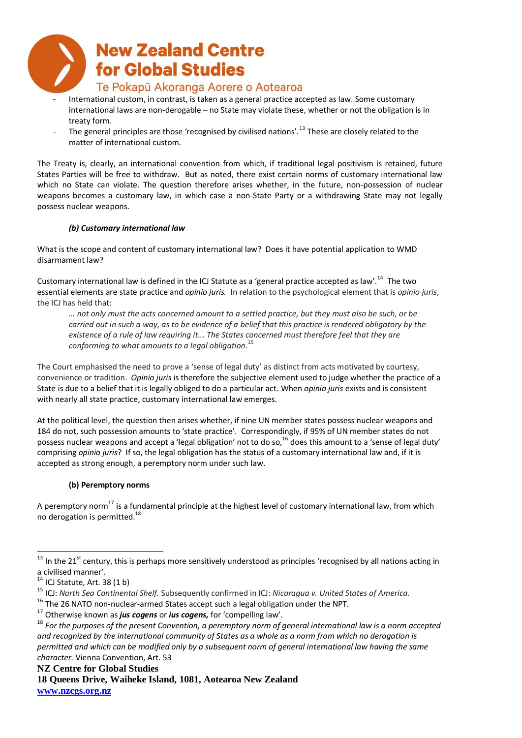

## Te Pokapū Akoranga Aorere o Aotearoa

- International custom, in contrast, is taken as a general practice accepted as law. Some customary international laws are non-derogable – no State may violate these, whether or not the obligation is in treaty form.
- The general principles are those 'recognised by civilised nations'.<sup>13</sup> These are closely related to the matter of international custom.

The Treaty is, clearly, an international convention from which, if traditional legal positivism is retained, future States Parties will be free to withdraw. But as noted, there exist certain norms of customary international law which no State can violate. The question therefore arises whether, in the future, non-possession of nuclear weapons becomes a customary law, in which case a non-State Party or a withdrawing State may not legally possess nuclear weapons.

## *(b) Customary international law*

What is the scope and content of customary international law? Does it have potential application to WMD disarmament law?

Customary international law is defined in the ICJ Statute as a 'general practice accepted as law'.<sup>14</sup> The two essential elements are [state practice](https://en.wikipedia.org/wiki/Sources_of_international_law#State_practice) and *[opinio juris.](https://en.wikipedia.org/wiki/Opinio_juris_sive_necessitatis)* In relation to the psychological element that is *opinio juris*, the ICJ has held that:

*… not only must the acts concerned amount to a settled practice, but they must also be such, or be carried out in such a way, as to be evidence of a belief that this practice is rendered obligatory by the existence of a rule of law requiring it... The States concerned must therefore feel that they are conforming to what amounts to a legal obligation.*<sup>15</sup>

The Court emphasised the need to prove a 'sense of legal duty' as distinct from acts motivated by courtesy, convenience or tradition. *Opinio juris* is therefore the subjective element used to judge whether the practice of a State is due to a belief that it is legally obliged to do a particular act. When *opinio juris* exists and is consistent with nearly all state practice, customary international law emerges.

At the political level, the question then arises whether, if nine UN member states possess nuclear weapons and 184 do not, such possession amounts to 'state practice'. Correspondingly, if 95% of UN member states do not possess nuclear weapons and accept a 'legal obligation' not to do so,<sup>16</sup> does this amount to a 'sense of legal duty' comprising *opinio juris*? If so, the legal obligation has the status of a customary international law and, if it is accepted as strong enough, a peremptory norm under such law.

## **(b) Peremptory norms**

A peremptory norm<sup>17</sup> is a fundamental principle at the highest level of customary international law, from which n[o derogation](https://en.wikipedia.org/wiki/Derogation) is permitted.<sup>18</sup>

 $\overline{\phantom{a}}$ 

- <sup>16</sup> The 26 NATO non-nuclear-armed States accept such a legal obligation under the NPT.
- <sup>17</sup> Otherwise known as *jus cogens* or *ius cogens,* for 'compelling law'.

 $^{13}$  In the 21<sup>st</sup> century, this is perhaps more sensitively understood as principles 'recognised by all nations acting in a civilised manner'.

 $<sup>1</sup>$  ICJ Statute, Art. 38 (1 b)</sup>

<sup>15</sup> ICJ: *North Sea Continental Shelf.* Subsequently confirmed in ICJ: *Nicaragua v. United States of America*.

<sup>18</sup> *For the purposes of the present Convention, a peremptory norm of general international law is a norm accepted and recognized by the international community of States as a whole as a norm from which no derogation is permitted and which can be modified only by a subsequent norm of general international law having the same character.* Vienna Convention, Art. 53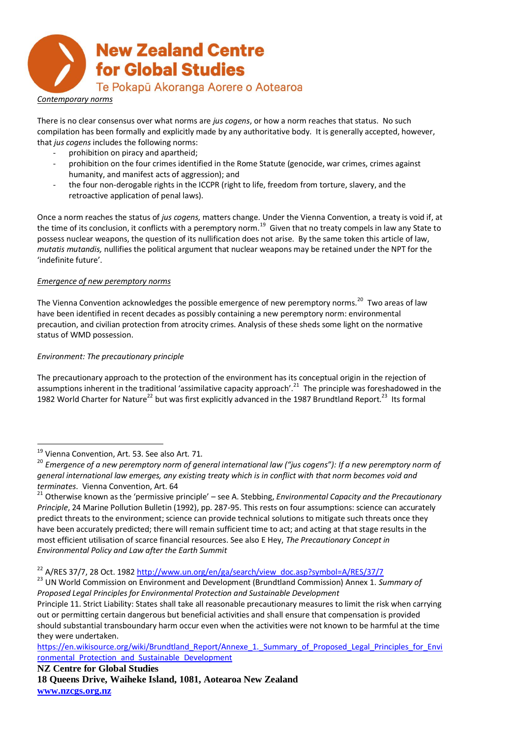**New Zealand Centre for Global Studies** Te Pokapū Akoranga Aorere o Aotearoa

#### *Contemporary norms*

There is no clear consensus over what norms are *jus cogens*, or how a norm reaches that status. No such compilation has been formally and explicitly made by any authoritative body. It is generally accepted, however, that *jus cogens* includes the following norms:

- prohibition on piracy and apartheid;
- prohibition on the four crimes identified in the Rome Statute (genocide, war crimes, crimes against humanity, and manifest acts of aggression); and
- the four non-derogable rights in the ICCPR (right to life, freedom from torture, slavery, and the retroactive application of penal laws).

Once a norm reaches the status of *jus cogens,* matters change. Under the Vienna Convention, a treaty is void if, at the time of its conclusion, it conflicts with a peremptory norm.<sup>19</sup> Given that no treaty compels in law any State to possess nuclear weapons, the question of its nullification does not arise. By the same token this article of law, *mutatis mutandis,* nullifies the political argument that nuclear weapons may be retained under the NPT for the 'indefinite future'.

### *Emergence of new peremptory norms*

The Vienna Convention acknowledges the possible emergence of new peremptory norms.<sup>20</sup> Two areas of law have been identified in recent decades as possibly containing a new peremptory norm: environmental precaution, and civilian protection from atrocity crimes. Analysis of these sheds some light on the normative status of WMD possession.

### *Environment: The precautionary principle*

The precautionary approach to the protection of the environment has its conceptual origin in the rejection of assumptions inherent in the traditional 'assimilative capacity approach'.<sup>21</sup> The principle was foreshadowed in the 1982 World Charter for Nature<sup>22</sup> but was first explicitly advanced in the 1987 Brundtland Report.<sup>23</sup> Its formal

 $\overline{\phantom{a}}$ 

<sup>&</sup>lt;sup>19</sup> Vienna Convention, Art. 53. See also Art. 71.

<sup>&</sup>lt;sup>20</sup> Emergence of a new peremptory norm of general international law ("jus cogens"): If a new peremptory norm of *general international law emerges, any existing treaty which is in conflict with that norm becomes void and terminates*. Vienna Convention, Art. 64

<sup>21</sup> Otherwise known as the 'permissive principle' – see A. Stebbing, *Environmental Capacity and the Precautionary Principle*, 24 Marine Pollution Bulletin (1992), pp. 287-95. This rests on four assumptions: science can accurately predict threats to the environment; science can provide technical solutions to mitigate such threats once they have been accurately predicted; there will remain sufficient time to act; and acting at that stage results in the most efficient utilisation of scarce financial resources. See also E Hey, *The Precautionary Concept in Environmental Policy and Law after the Earth Summit*

<sup>&</sup>lt;sup>22</sup> A/RES 37/7, 28 Oct. 1982 [http://www.un.org/en/ga/search/view\\_doc.asp?symbol=A/RES/37/7](http://www.un.org/en/ga/search/view_doc.asp?symbol=A/RES/37/7)

<sup>23</sup> UN World Commission on Environment and Development (Brundtland Commission) Annex 1. *Summary of Proposed Legal Principles for Environmental Protection and Sustainable Development*

Principle 11. Strict Liability: States shall take all reasonable precautionary measures to limit the risk when carrying out or permitting certain dangerous but beneficial activities and shall ensure that compensation is provided should substantial transboundary harm occur even when the activities were not known to be harmful at the time they were undertaken.

[https://en.wikisource.org/wiki/Brundtland\\_Report/Annexe\\_1.\\_Summary\\_of\\_Proposed\\_Legal\\_Principles\\_for\\_Envi](https://en.wikisource.org/wiki/Brundtland_Report/Annexe_1._Summary_of_Proposed_Legal_Principles_for_Environmental_Protection_and_Sustainable_Development) [ronmental\\_Protection\\_and\\_Sustainable\\_Development](https://en.wikisource.org/wiki/Brundtland_Report/Annexe_1._Summary_of_Proposed_Legal_Principles_for_Environmental_Protection_and_Sustainable_Development)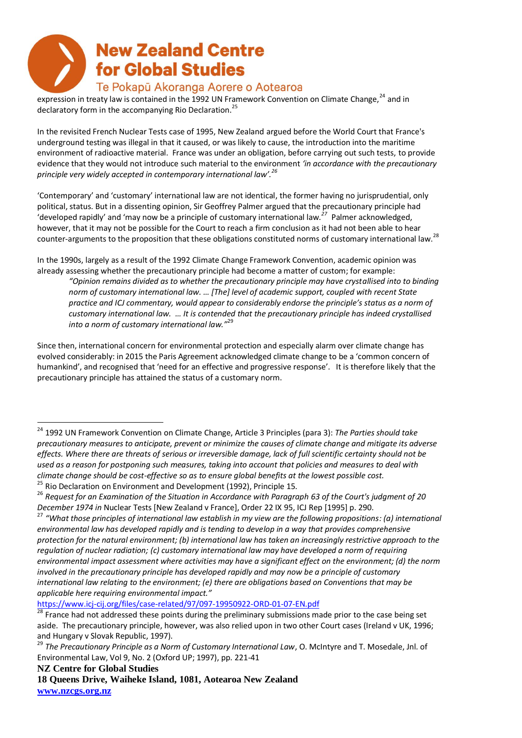## Te Pokapū Akoranga Aorere o Aotearoa

expression in treaty law is contained in the 1992 UN Framework Convention on Climate Change,<sup>24</sup> and in declaratory form in the accompanying Rio Declaration.<sup>25</sup>

In the revisited French Nuclear Tests case of 1995, New Zealand argued before the World Court that France's underground testing was illegal in that it caused, or was likely to cause, the introduction into the maritime environment of radioactive material. France was under an obligation, before carrying out such tests, to provide evidence that they would not introduce such material to the environment *'in accordance with the precautionary principle very widely accepted in contemporary international law'.<sup>26</sup>*

'Contemporary' and 'customary' international law are not identical, the former having no jurisprudential, only political, status. But in a dissenting opinion, Sir Geoffrey Palmer argued that the precautionary principle had 'developed rapidly' and 'may now be a principle of customary international law.*<sup>27</sup>* Palmer acknowledged, however, that it may not be possible for the Court to reach a firm conclusion as it had not been able to hear counter-arguments to the proposition that these obligations constituted norms of customary international law.<sup>28</sup>

In the 1990s, largely as a result of the 1992 Climate Change Framework Convention, academic opinion was already assessing whether the precautionary principle had become a matter of custom; for example:

*"Opinion remains divided as to whether the precautionary principle may have crystallised into to binding norm of customary international law. … [The] level of academic support, coupled with recent State practice and ICJ commentary, would appear to considerably endorse the principle's status as a norm of customary international law. … It is contended that the precautionary principle has indeed crystallised into a norm of customary international law."*<sup>29</sup> 

Since then, international concern for environmental protection and especially alarm over climate change has evolved considerably: in 2015 the Paris Agreement acknowledged climate change to be a 'common concern of humankind', and recognised that 'need for an effective and progressive response'. It is therefore likely that the precautionary principle has attained the status of a customary norm.

<https://www.icj-cij.org/files/case-related/97/097-19950922-ORD-01-07-EN.pdf>

 $\overline{\phantom{a}}$ 

<sup>24</sup> 1992 UN Framework Convention on Climate Change, Article 3 Principles (para 3): *The Parties should take precautionary measures to anticipate, prevent or minimize the causes of climate change and mitigate its adverse effects. Where there are threats of serious or irreversible damage, lack of full scientific certainty should not be used as a reason for postponing such measures, taking into account that policies and measures to deal with climate change should be cost-effective so as to ensure global benefits at the lowest possible cost.* <sup>25</sup> Rio Declaration on Environment and Development (1992), Principle 15.

<sup>26</sup> *Request for an Examination of the Situation in Accordance with Paragraph 63 of the Court's judgment of 20 December 1974 in* Nuclear Tests [New Zealand v France], Order 22 IX 95, ICJ Rep [1995] p. 290.

<sup>27</sup> *"What those principles of international law establish in my view are the following propositions: (a) international environmental law has developed rapidly and is tending to develop in a way that provides comprehensive protection for the natural environment; (b) international law has taken an increasingly restrictive approach to the regulation of nuclear radiation; (c) customary international law may have developed a norm of requiring environmental impact assessment where activities may have a significant effect on the environment; (d) the norm involved in the precautionary principle has developed rapidly and may now be a principle of customary international law relating to the environment; (e) there are obligations based on Conventions that may be applicable here requiring environmental impact."*

 $\frac{28}{28}$  France had not addressed these points during the preliminary submissions made prior to the case being set aside. The precautionary principle, however, was also relied upon in two other Court cases (Ireland v UK, 1996; and Hungary v Slovak Republic, 1997).

<sup>29</sup> *The Precautionary Principle as a Norm of Customary International Law*, O. McIntyre and T. Mosedale, Jnl. of Environmental Law, Vol 9, No. 2 (Oxford UP; 1997), pp. 221-41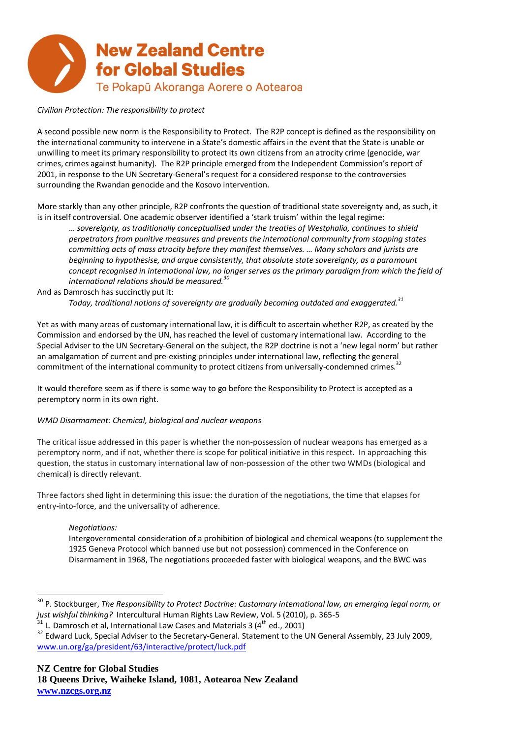

## *Civilian Protection: The responsibility to protect*

A second possible new norm is the Responsibility to Protect. The R2P concept is defined as the responsibility on the international community to intervene in a State's domestic affairs in the event that the State is unable or unwilling to meet its primary responsibility to protect its own citizens from an atrocity crime (genocide, war crimes, crimes against humanity). The R2P principle emerged from the Independent Commission's report of 2001, in response to the UN Secretary-General's request for a considered response to the controversies surrounding the Rwandan genocide and the Kosovo intervention.

More starkly than any other principle, R2P confronts the question of traditional state sovereignty and, as such, it is in itself controversial. One academic observer identified a 'stark truism' within the legal regime:

… *sovereignty, as traditionally conceptualised under the treaties of Westphalia, continues to shield perpetrators from punitive measures and prevents the international community from stopping states committing acts of mass atrocity before they manifest themselves. … Many scholars and jurists are beginning to hypothesise, and argue consistently, that absolute state sovereignty, as a paramount concept recognised in international law, no longer serves as the primary paradigm from which the field of international relations should be measured.<sup>30</sup>*

### And as Damrosch has succinctly put it:

*Today, traditional notions of sovereignty are gradually becoming outdated and exaggerated.<sup>31</sup>*

Yet as with many areas of customary international law, it is difficult to ascertain whether R2P, as created by the Commission and endorsed by the UN, has reached the level of customary international law. According to the Special Adviser to the UN Secretary-General on the subject, the R2P doctrine is not a 'new legal norm' but rather an amalgamation of current and pre-existing principles under international law, reflecting the general commitment of the international community to protect citizens from universally-condemned crimes.<sup>32</sup>

It would therefore seem as if there is some way to go before the Responsibility to Protect is accepted as a peremptory norm in its own right.

## *WMD Disarmament: Chemical, biological and nuclear weapons*

The critical issue addressed in this paper is whether the non-possession of nuclear weapons has emerged as a peremptory norm, and if not, whether there is scope for political initiative in this respect. In approaching this question, the status in customary international law of non-possession of the other two WMDs (biological and chemical) is directly relevant.

Three factors shed light in determining this issue: the duration of the negotiations, the time that elapses for entry-into-force, and the universality of adherence.

## *Negotiations:*

 $\overline{\phantom{a}}$ 

Intergovernmental consideration of a prohibition of biological and chemical weapons (to supplement the 1925 Geneva Protocol which banned use but not possession) commenced in the Conference on Disarmament in 1968, The negotiations proceeded faster with biological weapons, and the BWC was

<sup>&</sup>lt;sup>30</sup> P. Stockburger, *The Responsibility to Protect Doctrine: Customary international law, an emerging legal norm, or just wishful thinking?* Intercultural Human Rights Law Review, Vol. 5 (2010), p. 365-5

 $^{31}$  L. Damrosch et al, International Law Cases and Materials 3 (4<sup>th</sup> ed., 2001)

<sup>&</sup>lt;sup>32</sup> Edward Luck, Special Adviser to the Secretary-General. Statement to the UN General Assembly, 23 July 2009, www.un.org/ga/president/63/interactive/protect/luck.pdf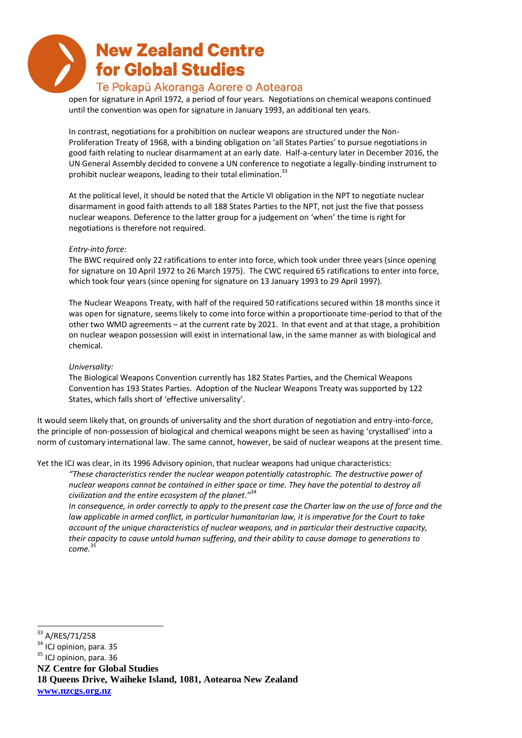

## Te Pokapū Akoranga Aorere o Aotearoa

open for signature in April 1972, a period of four years. Negotiations on chemical weapons continued until the convention was open for signature in January 1993, an additional ten years.

In contrast, negotiations for a prohibition on nuclear weapons are structured under the Non-Proliferation Treaty of 1968, with a binding obligation on 'all States Parties' to pursue negotiations in good faith relating to nuclear disarmament at an early date. Half-a-century later in December 2016, the UN General Assembly decided to convene a UN conference to negotiate a legally-binding instrument to prohibit nuclear weapons, leading to their total elimination.<sup>3</sup>

At the political level, it should be noted that the Article VI obligation in the NPT to negotiate nuclear disarmament in good faith attends to all 188 States Parties to the NPT, not just the five that possess nuclear weapons. Deference to the latter group for a judgement on 'when' the time is right for negotiations is therefore not required.

### *Entry-into force:*

The BWC required only 22 ratifications to enter into force, which took under three years (since opening for signature on 10 April 1972 to 26 March 1975). The CWC required 65 ratifications to enter into force, which took four years (since opening for signature on 13 January 1993 to 29 April 1997).

The Nuclear Weapons Treaty, with half of the required 50 ratifications secured within 18 months since it was open for signature, seems likely to come into force within a proportionate time-period to that of the other two WMD agreements – at the current rate by 2021. In that event and at that stage, a prohibition on nuclear weapon possession will exist in international law, in the same manner as with biological and chemical.

### *Universality:*

The Biological Weapons Convention currently has 182 States Parties, and the Chemical Weapons Convention has 193 States Parties. Adoption of the Nuclear Weapons Treaty was supported by 122 States, which falls short of 'effective universality'.

It would seem likely that, on grounds of universality and the short duration of negotiation and entry-into-force, the principle of non-possession of biological and chemical weapons might be seen as having 'crystallised' into a norm of customary international law. The same cannot, however, be said of nuclear weapons at the present time.

Yet the ICJ was clear, in its 1996 Advisory opinion, that nuclear weapons had unique characteristics:

*"These characteristics render the nuclear weapon potentially catastrophic. The destructive power of nuclear weapons cannot be contained in either space or time. They have the potential to destroy all civilization and the entire ecosystem of the planet."<sup>34</sup>*

*In consequence, in order correctly to apply to the present case the Charter law on the use of force and the law applicable in armed conflict, in particular humanitarian law, it is imperative for the Court to take account of the unique characteristics of nuclear weapons, and in particular their destructive capacity, their capacity to cause untold human suffering, and their ability to cause damage to generations to come. 35*

**NZ Centre for Global Studies**

 $\overline{\phantom{a}}$ <sup>33</sup> A/RES/71/258

<sup>&</sup>lt;sup>34</sup> ICJ opinion, para. 35

<sup>&</sup>lt;sup>35</sup> ICJ opinion, para. 36

**<sup>18</sup> Queens Drive, Waiheke Island, 1081, Aotearoa New Zealand [www.nzcgs.org.nz](http://www.nzcgs.org.nz/)**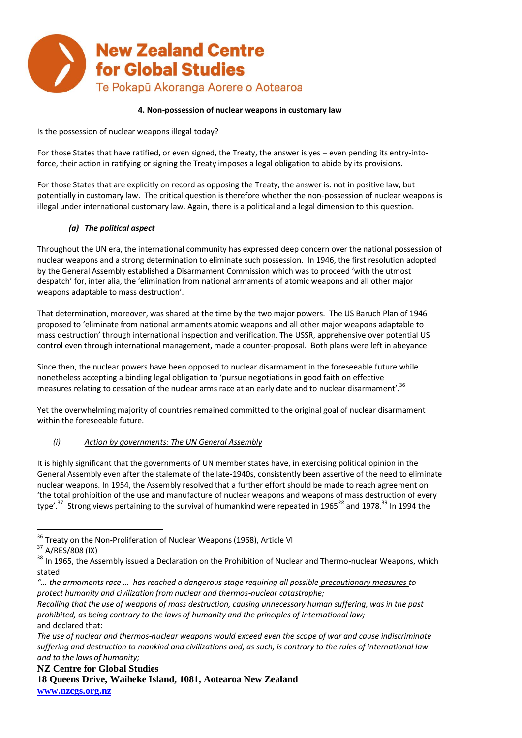

### **4. Non-possession of nuclear weapons in customary law**

Is the possession of nuclear weapons illegal today?

For those States that have ratified, or even signed, the Treaty, the answer is yes – even pending its entry-intoforce, their action in ratifying or signing the Treaty imposes a legal obligation to abide by its provisions.

For those States that are explicitly on record as opposing the Treaty, the answer is: not in positive law, but potentially in customary law. The critical question is therefore whether the non-possession of nuclear weapons is illegal under international customary law. Again, there is a political and a legal dimension to this question.

## *(a) The political aspect*

Throughout the UN era, the international community has expressed deep concern over the national possession of nuclear weapons and a strong determination to eliminate such possession. In 1946, the first resolution adopted by the General Assembly established a Disarmament Commission which was to proceed 'with the utmost despatch' for, inter alia, the 'elimination from national armaments of atomic weapons and all other major weapons adaptable to mass destruction'.

That determination, moreover, was shared at the time by the two major powers. The US Baruch Plan of 1946 proposed to 'eliminate from national armaments atomic weapons and all other major weapons adaptable to mass destruction' through international inspection and verification. The USSR, apprehensive over potential US control even through international management, made a counter-proposal. Both plans were left in abeyance

Since then, the nuclear powers have been opposed to nuclear disarmament in the foreseeable future while nonetheless accepting a binding legal obligation to 'pursue negotiations in good faith on effective measures relating to cessation of the nuclear arms race at an early date and to nuclear disarmament'.<sup>36</sup>

Yet the overwhelming majority of countries remained committed to the original goal of nuclear disarmament within the foreseeable future.

## *(i) Action by governments: The UN General Assembly*

It is highly significant that the governments of UN member states have, in exercising political opinion in the General Assembly even after the stalemate of the late-1940s, consistently been assertive of the need to eliminate nuclear weapons. In 1954, the Assembly resolved that a further effort should be made to reach agreement on 'the total prohibition of the use and manufacture of nuclear weapons and weapons of mass destruction of every type'.<sup>37</sup> Strong views pertaining to the survival of humankind were repeated in 1965<sup>38</sup> and 1978.<sup>39</sup> In 1994 the

 $\overline{\phantom{a}}$ 

*"… the armaments race … has reached a dangerous stage requiring all possible precautionary measures to protect humanity and civilization from nuclear and thermos-nuclear catastrophe;*

<sup>&</sup>lt;sup>36</sup> Treaty on the Non-Proliferation of Nuclear Weapons (1968), Article VI

 $37$  A/RES/808 (IX)

<sup>&</sup>lt;sup>38</sup> In 1965, the Assembly issued a Declaration on the Prohibition of Nuclear and Thermo-nuclear Weapons, which stated:

*Recalling that the use of weapons of mass destruction, causing unnecessary human suffering, was in the past prohibited, as being contrary to the laws of humanity and the principles of international law;*  and declared that:

*The use of nuclear and thermos-nuclear weapons would exceed even the scope of war and cause indiscriminate suffering and destruction to mankind and civilizations and, as such, is contrary to the rules of international law and to the laws of humanity;*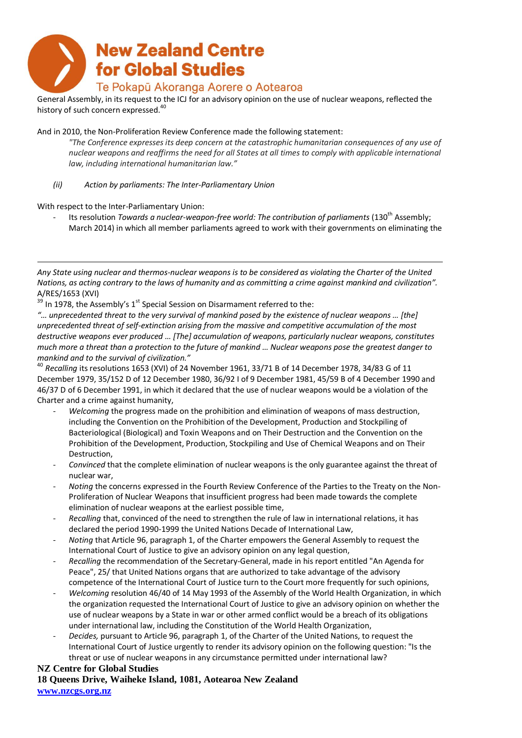

## Te Pokapū Akoranga Aorere o Aotearoa

General Assembly, in its request to the ICJ for an advisory opinion on the use of nuclear weapons, reflected the history of such concern expressed.<sup>40</sup>

And in 2010, the Non-Proliferation Review Conference made the following statement:

*"The Conference expresses its deep concern at the catastrophic humanitarian consequences of any use of nuclear weapons and reaffirms the need for all States at all times to comply with applicable international law, including international humanitarian law."*

*(ii) Action by parliaments: The Inter-Parliamentary Union*

With respect to the Inter-Parliamentary Union:

 $\overline{\phantom{a}}$ 

Its resolution *Towards a nuclear-weapon-free world: The contribution of parliaments* (130<sup>th</sup> Assembly; March 2014) in which all member parliaments agreed to work with their governments on eliminating the

*Any State using nuclear and thermos-nuclear weapons is to be considered as violating the Charter of the United Nations, as acting contrary to the laws of humanity and as committing a crime against mankind and civilization".*  A/RES/1653 (XVI)

 $39$  In 1978, the Assembly's 1<sup>st</sup> Special Session on Disarmament referred to the:

*"… unprecedented threat to the very survival of mankind posed by the existence of nuclear weapons … [the] unprecedented threat of self-extinction arising from the massive and competitive accumulation of the most destructive weapons ever produced … [The] accumulation of weapons, particularly nuclear weapons, constitutes much more a threat than a protection to the future of mankind … Nuclear weapons pose the greatest danger to mankind and to the survival of civilization."*

<sup>40</sup> *Recalling* its resolutions 1653 (XVI) of 24 November 1961, 33/71 B of 14 December 1978, 34/83 G of 11 December 1979, 35/152 D of 12 December 1980, 36/92 I of 9 December 1981, 45/59 B of 4 December 1990 and 46/37 D of 6 December 1991, in which it declared that the use of nuclear weapons would be a violation of the Charter and a crime against humanity,

- *Welcoming* the progress made on the prohibition and elimination of weapons of mass destruction, including the Convention on the Prohibition of the Development, Production and Stockpiling of Bacteriological (Biological) and Toxin Weapons and on Their Destruction and the Convention on the Prohibition of the Development, Production, Stockpiling and Use of Chemical Weapons and on Their Destruction,
- *Convinced* that the complete elimination of nuclear weapons is the only guarantee against the threat of nuclear war,
- *Noting* the concerns expressed in the Fourth Review Conference of the Parties to the Treaty on the Non-Proliferation of Nuclear Weapons that insufficient progress had been made towards the complete elimination of nuclear weapons at the earliest possible time,
- Recalling that, convinced of the need to strengthen the rule of law in international relations, it has declared the period 1990-1999 the United Nations Decade of International Law,
- *Noting* that Article 96, paragraph 1, of the Charter empowers the General Assembly to request the International Court of Justice to give an advisory opinion on any legal question,
- *Recalling* the recommendation of the Secretary-General, made in his report entitled "An Agenda for Peace", 25/ that United Nations organs that are authorized to take advantage of the advisory competence of the International Court of Justice turn to the Court more frequently for such opinions,
- Welcoming resolution 46/40 of 14 May 1993 of the Assembly of the World Health Organization, in which the organization requested the International Court of Justice to give an advisory opinion on whether the use of nuclear weapons by a State in war or other armed conflict would be a breach of its obligations under international law, including the Constitution of the World Health Organization,
- *Decides,* pursuant to Article 96, paragraph 1, of the Charter of the United Nations, to request the International Court of Justice urgently to render its advisory opinion on the following question: "Is the threat or use of nuclear weapons in any circumstance permitted under international law?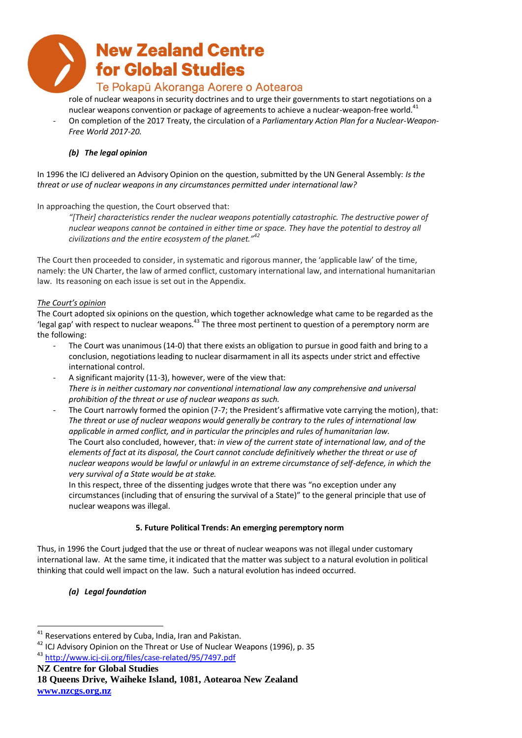

## Te Pokapū Akoranga Aorere o Aotearoa

role of nuclear weapons in security doctrines and to urge their governments to start negotiations on a nuclear weapons convention or package of agreements to achieve a nuclear-weapon-free world.<sup>41</sup> - On completion of the 2017 Treaty, the circulation of a *Parliamentary Action Plan for a Nuclear-Weapon-Free World 2017-20.*

## *(b) The legal opinion*

In 1996 the ICJ delivered an Advisory Opinion on the question, submitted by the UN General Assembly: *Is the threat or use of nuclear weapons in any circumstances permitted under international law?*

In approaching the question, the Court observed that:

*"[Their] characteristics render the nuclear weapons potentially catastrophic. The destructive power of nuclear weapons cannot be contained in either time or space. They have the potential to destroy all civilizations and the entire ecosystem of the planet."<sup>42</sup>*

The Court then proceeded to consider, in systematic and rigorous manner, the 'applicable law' of the time, namely: the UN Charter, the law of armed conflict, customary international law, and international humanitarian law. Its reasoning on each issue is set out in the Appendix.

## *The Court's opinion*

The Court adopted six opinions on the question, which together acknowledge what came to be regarded as the 'legal gap' with respect to nuclear weapons.<sup>43</sup> The three most pertinent to question of a peremptory norm are the following:

- The Court was unanimous (14-0) that there exists an obligation to pursue in good faith and bring to a conclusion, negotiations leading to nuclear disarmament in all its aspects under strict and effective international control.
- A significant majority (11-3), however, were of the view that: *There is in neither customary nor conventional international law any comprehensive and universal prohibition of the threat or use of nuclear weapons as such.*
- The Court narrowly formed the opinion (7-7; the President's affirmative vote carrying the motion), that: *The threat or use of nuclear weapons would generally be contrary to the rules of international law applicable in armed conflict, and in particular the principles and rules of humanitarian law.* The Court also concluded, however, that: *in view of the current state of international law, and of the elements of fact at its disposal, the Court cannot conclude definitively whether the threat or use of nuclear weapons would be lawful or unlawful in an extreme circumstance of self-defence, in which the very survival of a State would be at stake.*

In this respect, three of the dissenting judges wrote that there was "no exception under any circumstances (including that of ensuring the survival of a State)" to the general principle that use of nuclear weapons was illegal.

## **5. Future Political Trends: An emerging peremptory norm**

Thus, in 1996 the Court judged that the use or threat of nuclear weapons was not illegal under customary international law. At the same time, it indicated that the matter was subject to a natural evolution in political thinking that could well impact on the law. Such a natural evolution has indeed occurred.

## *(a) Legal foundation*

 $\overline{\phantom{a}}$  $41$  Reservations entered by Cuba, India, Iran and Pakistan.

<sup>&</sup>lt;sup>42</sup> ICJ Advisory Opinion on the Threat or Use of Nuclear Weapons (1996), p. 35 <sup>43</sup> <http://www.icj-cij.org/files/case-related/95/7497.pdf>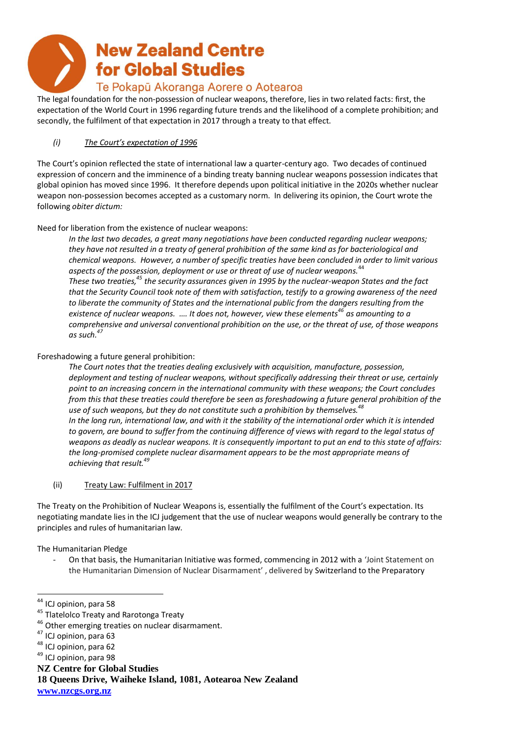## Te Pokapū Akoranga Aorere o Aotearoa

The legal foundation for the non-possession of nuclear weapons, therefore, lies in two related facts: first, the expectation of the World Court in 1996 regarding future trends and the likelihood of a complete prohibition; and secondly, the fulfilment of that expectation in 2017 through a treaty to that effect.

## *(i) The Court's expectation of 1996*

The Court's opinion reflected the state of international law a quarter-century ago. Two decades of continued expression of concern and the imminence of a binding treaty banning nuclear weapons possession indicates that global opinion has moved since 1996. It therefore depends upon political initiative in the 2020s whether nuclear weapon non-possession becomes accepted as a customary norm. In delivering its opinion, the Court wrote the following *obiter dictum:* 

## Need for liberation from the existence of nuclear weapons:

*In the last two decades, a great many negotiations have been conducted regarding nuclear weapons; they have not resulted in a treaty of general prohibition of the same kind as for bacteriological and chemical weapons. However, a number of specific treaties have been concluded in order to limit various aspects of the possession, deployment or use or threat of use of nuclear weapons.*<sup>44</sup> *These two treaties,<sup>45</sup> the security assurances given in 1995 by the nuclear-weapon States and the fact that the Security Council took note of them with satisfaction, testify to a growing awareness of the need to liberate the community of States and the international public from the dangers resulting from the existence of nuclear weapons. …. It does not, however, view these elements<sup>46</sup> as amounting to a comprehensive and universal conventional prohibition on the use, or the threat of use, of those weapons as such.<sup>47</sup>*

## Foreshadowing a future general prohibition:

*The Court notes that the treaties dealing exclusively with acquisition, manufacture, possession, deployment and testing of nuclear weapons, without specifically addressing their threat or use, certainly point to an increasing concern in the international community with these weapons; the Court concludes from this that these treaties could therefore be seen as foreshadowing a future general prohibition of the use of such weapons, but they do not constitute such a prohibition by themselves.<sup>48</sup> In the long run, international law, and with it the stability of the international order which it is intended to govern, are bound to suffer from the continuing difference of views with regard to the legal status of weapons as deadly as nuclear weapons. It is consequently important to put an end to this state of affairs: the long-promised complete nuclear disarmament appears to be the most appropriate means of achieving that result.<sup>49</sup>*

## (ii) Treaty Law: Fulfilment in 2017

The Treaty on the Prohibition of Nuclear Weapons is, essentially the fulfilment of the Court's expectation. Its negotiating mandate lies in the ICJ judgement that the use of nuclear weapons would generally be contrary to the principles and rules of humanitarian law.

The Humanitarian Pledge

- On that basis, the Humanitarian Initiative was formed, commencing in 2012 with a 'Joint Statement on the Humanitarian Dimension of Nuclear Disarmament' , delivered by Switzerland to the Preparatory

 $\overline{\phantom{a}}$ 

**NZ Centre for Global Studies**

**18 Queens Drive, Waiheke Island, 1081, Aotearoa New Zealand [www.nzcgs.org.nz](http://www.nzcgs.org.nz/)**

<sup>44</sup> ICJ opinion, para 58

<sup>&</sup>lt;sup>45</sup> Tlatelolco Treaty and Rarotonga Treaty

<sup>46</sup> Other emerging treaties on nuclear disarmament.

<sup>47</sup> ICJ opinion, para 63

<sup>&</sup>lt;sup>48</sup> ICJ opinion, para 62

<sup>49</sup> ICJ opinion, para 98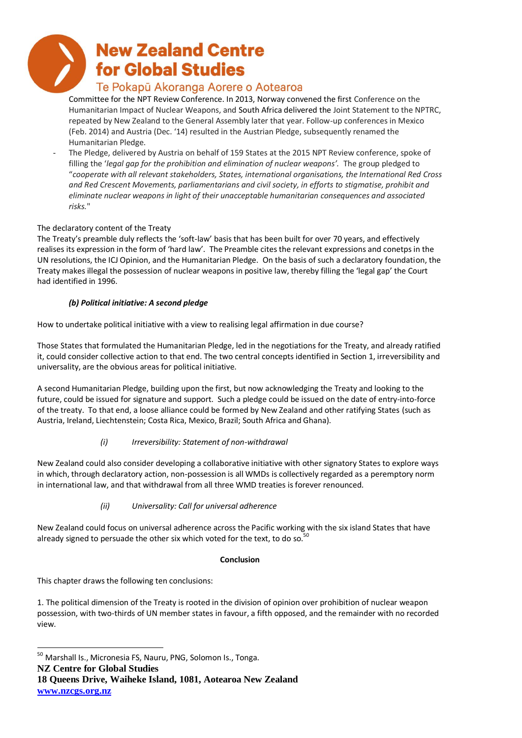## Te Pokapū Akoranga Aorere o Aotearoa

Committee for the NPT Review Conference. In 2013, Norway convened the first Conference on the Humanitarian Impact of Nuclear Weapons, and South Africa delivered the Joint Statement to the NPTRC, repeated by New Zealand to the General Assembly later that year. Follow-up conferences in Mexico (Feb. 2014) and Austria (Dec. '14) resulted in the Austrian Pledge, subsequently renamed the Humanitarian Pledge.

- The Pledge, delivered by Austria on behalf of 159 States at the 2015 NPT Review conference, spoke of filling the '*legal gap for the prohibition and elimination of nuclear weapons'.* The group pledged to "*cooperate with all relevant stakeholders, States, international organisations, the International Red Cross and Red Crescent Movements, parliamentarians and civil society, in efforts to stigmatise, prohibit and eliminate nuclear weapons in light of their unacceptable humanitarian consequences and associated risks.*"

## The declaratory content of the Treaty

The Treaty's preamble duly reflects the 'soft-law' basis that has been built for over 70 years, and effectively realises its expression in the form of 'hard law'. The Preamble cites the relevant expressions and conetps in the UN resolutions, the ICJ Opinion, and the Humanitarian Pledge. On the basis of such a declaratory foundation, the Treaty makes illegal the possession of nuclear weapons in positive law, thereby filling the 'legal gap' the Court had identified in 1996.

## *(b) Political initiative: A second pledge*

How to undertake political initiative with a view to realising legal affirmation in due course?

Those States that formulated the Humanitarian Pledge, led in the negotiations for the Treaty, and already ratified it, could consider collective action to that end. The two central concepts identified in Section 1, irreversibility and universality, are the obvious areas for political initiative.

A second Humanitarian Pledge, building upon the first, but now acknowledging the Treaty and looking to the future, could be issued for signature and support. Such a pledge could be issued on the date of entry-into-force of the treaty. To that end, a loose alliance could be formed by New Zealand and other ratifying States (such as Austria, Ireland, Liechtenstein; Costa Rica, Mexico, Brazil; South Africa and Ghana).

## *(i) Irreversibility: Statement of non-withdrawal*

New Zealand could also consider developing a collaborative initiative with other signatory States to explore ways in which, through declaratory action, non-possession is all WMDs is collectively regarded as a peremptory norm in international law, and that withdrawal from all three WMD treaties is forever renounced.

## *(ii) Universality: Call for universal adherence*

New Zealand could focus on universal adherence across the Pacific working with the six island States that have already signed to persuade the other six which voted for the text, to do so.<sup>50</sup>

## **Conclusion**

This chapter draws the following ten conclusions:

1. The political dimension of the Treaty is rooted in the division of opinion over prohibition of nuclear weapon possession, with two-thirds of UN member states in favour, a fifth opposed, and the remainder with no recorded view.

l <sup>50</sup> Marshall Is., Micronesia FS, Nauru, PNG, Solomon Is., Tonga.

**NZ Centre for Global Studies**

**<sup>18</sup> Queens Drive, Waiheke Island, 1081, Aotearoa New Zealand [www.nzcgs.org.nz](http://www.nzcgs.org.nz/)**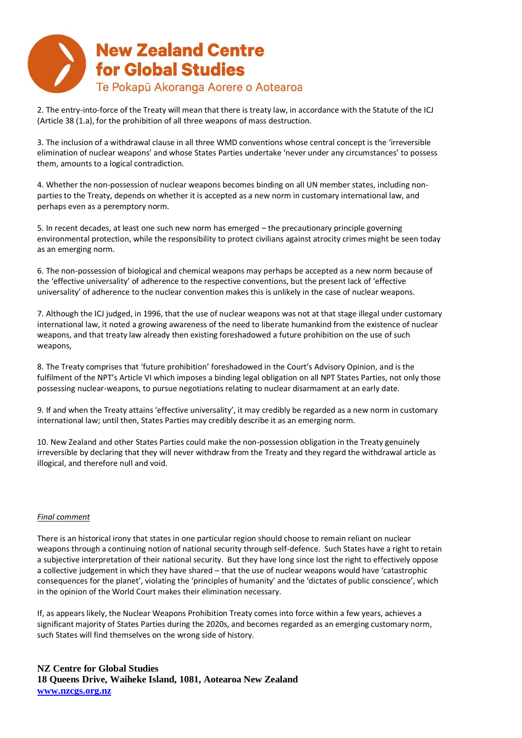

2. The entry-into-force of the Treaty will mean that there is treaty law, in accordance with the Statute of the ICJ (Article 38 (1.a), for the prohibition of all three weapons of mass destruction.

3. The inclusion of a withdrawal clause in all three WMD conventions whose central concept is the 'irreversible elimination of nuclear weapons' and whose States Parties undertake 'never under any circumstances' to possess them, amounts to a logical contradiction.

4. Whether the non-possession of nuclear weapons becomes binding on all UN member states, including nonparties to the Treaty, depends on whether it is accepted as a new norm in customary international law, and perhaps even as a peremptory norm.

5. In recent decades, at least one such new norm has emerged – the precautionary principle governing environmental protection, while the responsibility to protect civilians against atrocity crimes might be seen today as an emerging norm.

6. The non-possession of biological and chemical weapons may perhaps be accepted as a new norm because of the 'effective universality' of adherence to the respective conventions, but the present lack of 'effective universality' of adherence to the nuclear convention makes this is unlikely in the case of nuclear weapons.

7. Although the ICJ judged, in 1996, that the use of nuclear weapons was not at that stage illegal under customary international law, it noted a growing awareness of the need to liberate humankind from the existence of nuclear weapons, and that treaty law already then existing foreshadowed a future prohibition on the use of such weapons,

8. The Treaty comprises that 'future prohibition' foreshadowed in the Court's Advisory Opinion, and is the fulfilment of the NPT's Article VI which imposes a binding legal obligation on all NPT States Parties, not only those possessing nuclear-weapons, to pursue negotiations relating to nuclear disarmament at an early date.

9. If and when the Treaty attains 'effective universality', it may credibly be regarded as a new norm in customary international law; until then, States Parties may credibly describe it as an emerging norm.

10. New Zealand and other States Parties could make the non-possession obligation in the Treaty genuinely irreversible by declaring that they will never withdraw from the Treaty and they regard the withdrawal article as illogical, and therefore null and void.

### *Final comment*

There is an historical irony that states in one particular region should choose to remain reliant on nuclear weapons through a continuing notion of national security through self-defence. Such States have a right to retain a subjective interpretation of their national security. But they have long since lost the right to effectively oppose a collective judgement in which they have shared – that the use of nuclear weapons would have 'catastrophic consequences for the planet', violating the 'principles of humanity' and the 'dictates of public conscience', which in the opinion of the World Court makes their elimination necessary.

If, as appears likely, the Nuclear Weapons Prohibition Treaty comes into force within a few years, achieves a significant majority of States Parties during the 2020s, and becomes regarded as an emerging customary norm, such States will find themselves on the wrong side of history.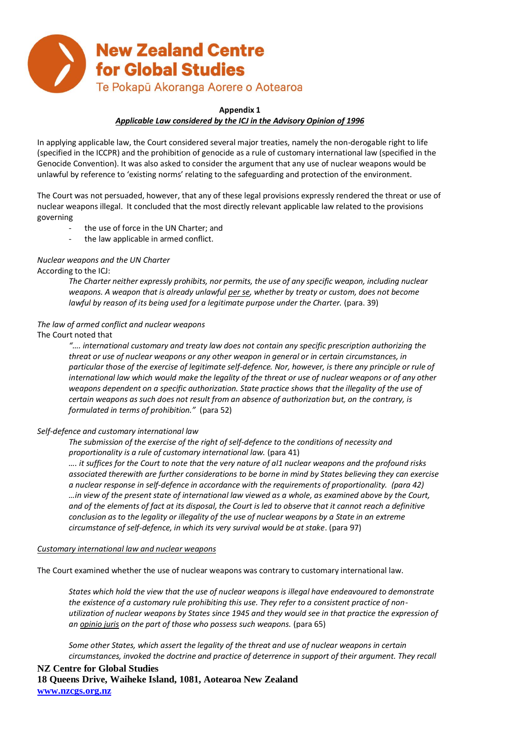

#### **Appendix 1**

#### *Applicable Law considered by the ICJ in the Advisory Opinion of 1996*

In applying applicable law, the Court considered several major treaties, namely the non-derogable right to life (specified in the ICCPR) and the prohibition of genocide as a rule of customary international law (specified in the Genocide Convention). It was also asked to consider the argument that any use of nuclear weapons would be unlawful by reference to 'existing norms' relating to the safeguarding and protection of the environment.

The Court was not persuaded, however, that any of these legal provisions expressly rendered the threat or use of nuclear weapons illegal. It concluded that the most directly relevant applicable law related to the provisions governing

- the use of force in the UN Charter; and
- the law applicable in armed conflict.

#### *Nuclear weapons and the UN Charter*

According to the ICJ:

*The Charter neither expressly prohibits, nor permits, the use of any specific weapon, including nuclear weapons. A weapon that is already unlawful per se, whether by treaty or custom, does not become lawful by reason of its being used for a legitimate purpose under the Charter.* (para. 39)

#### *The law of armed conflict and nuclear weapons*

The Court noted that

*"…. international customary and treaty law does not contain any specific prescription authorizing the threat or use of nuclear weapons or any other weapon in general or in certain circumstances, in particular those of the exercise of legitimate self-defence. Nor, however, is there any principle or rule of international law which would make the legality of the threat or use of nuclear weapons or of any other weapons dependent on a specific authorization. State practice shows that the illegality of the use of certain weapons as such does not result from an absence of authorization but, on the contrary, is formulated in terms of prohibition."* (para 52)

### *Self-defence and customary international law*

*The submission of the exercise of the right of self-defence to the conditions of necessity and proportionality is a rule of customary international law.* (para 41)

*…. it suffices for the Court to note that the very nature of al1 nuclear weapons and the profound risks associated therewith are further considerations to be borne in mind by States believing they can exercise a nuclear response in self-defence in accordance with the requirements of proportionality. (para 42) …in view of the present state of international law viewed as a whole, as examined above by the Court, and of the elements of fact at its disposal, the Court is led to observe that it cannot reach a definitive conclusion as to the legality or illegality of the use of nuclear weapons by a State in an extreme circumstance of self-defence, in which its very survival would be at stake*. (para 97)

#### *Customary international law and nuclear weapons*

The Court examined whether the use of nuclear weapons was contrary to customary international law.

*States which hold the view that the use of nuclear weapons is illegal have endeavoured to demonstrate the existence of a customary rule prohibiting this use. They refer to a consistent practice of nonutilization of nuclear weapons by States since 1945 and they would see in that practice the expression of an opinio juris on the part of those who possess such weapons.* (para 65)

*Some other States, which assert the legality of the threat and use of nuclear weapons in certain circumstances, invoked the doctrine and practice of deterrence in support of their argument. They recall*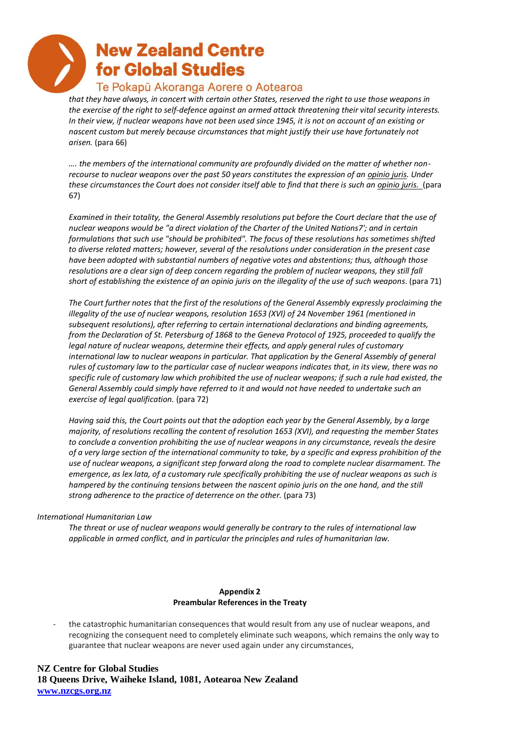## Te Pokapū Akoranga Aorere o Aotearoa

*that they have always, in concert with certain other States, reserved the right to use those weapons in the exercise of the right to self-defence against an armed attack threatening their vital security interests. In their view, if nuclear weapons have not been used since 1945, it is not on account of an existing or nascent custom but merely because circumstances that might justify their use have fortunately not arisen.* (para 66)

*…. the members of the international community are profoundly divided on the matter of whether nonrecourse to nuclear weapons over the past 50 years constitutes the expression of an opinio juris. Under these circumstances the Court does not consider itself able to find that there is such an opinio juris.* (para 67)

*Examined in their totality, the General Assembly resolutions put before the Court declare that the use of nuclear weapons would be "a direct violation of the Charter of the United Nations7'; and in certain formulations that such use "should be prohibited". The focus of these resolutions has sometimes shifted to diverse related matters; however, several of the resolutions under consideration in the present case have been adopted with substantial numbers of negative votes and abstentions; thus, although those resolutions are a clear sign of deep concern regarding the problem of nuclear weapons, they still fall short of establishing the existence of an opinio juris on the illegality of the use of such weapons*. (para 71)

*The Court further notes that the first of the resolutions of the General Assembly expressly proclaiming the illegality of the use of nuclear weapons, resolution 1653 (XVI) of 24 November 1961 (mentioned in subsequent resolutions), after referring to certain international declarations and binding agreements, from the Declaration of St. Petersburg of 1868 to the Geneva Protocol of 1925, proceeded to qualify the legal nature of nuclear weapons, determine their effects, and apply general rules of customary international law to nuclear weapons in particular. That application by the General Assembly of general rules of customary law to the particular case of nuclear weapons indicates that, in its view, there was no specific rule of customary law which prohibited the use of nuclear weapons; if such a rule had existed, the General Assembly could simply have referred to it and would not have needed to undertake such an exercise of legal qualification.* (para 72)

*Having said this, the Court points out that the adoption each year by the General Assembly, by a large majority, of resolutions recalling the content of resolution 1653 (XVI), and requesting the member States to conclude a convention prohibiting the use of nuclear weapons in any circumstance, reveals the desire of a very large section of the international community to take, by a specific and express prohibition of the use of nuclear weapons, a significant step forward along the road to complete nuclear disarmament. The emergence, as lex lata, of a customary rule specifically prohibiting the use of nuclear weapons as such is hampered by the continuing tensions between the nascent opinio juris on the one hand, and the still strong adherence to the practice of deterrence on the other.* (para 73)

## *International Humanitarian Law*

*The threat or use of nuclear weapons would generally be contrary to the rules of international law applicable in armed conflict, and in particular the principles and rules of humanitarian law.*

## **Appendix 2 Preambular References in the Treaty**

the catastrophic humanitarian consequences that would result from any use of nuclear weapons, and recognizing the consequent need to completely eliminate such weapons, which remains the only way to guarantee that nuclear weapons are never used again under any circumstances,